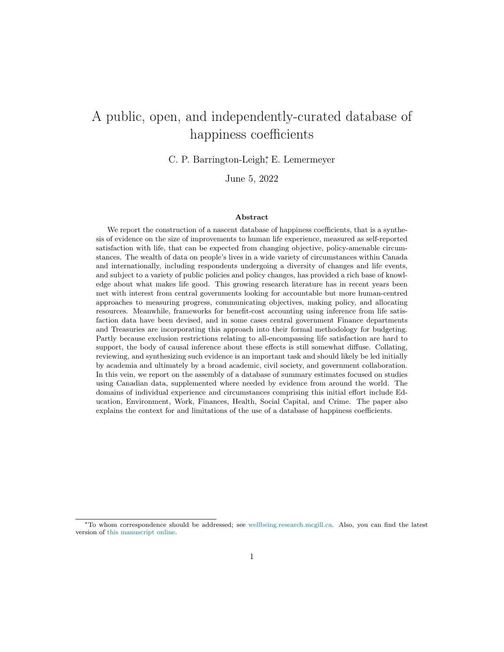# A public, open, and independently-curated database of happiness coefficients

C. P. Barrington-Leigh<sup>∗</sup> , E. Lemermeyer

June 5, 2022

#### Abstract

We report the construction of a nascent database of happiness coefficients, that is a synthesis of evidence on the size of improvements to human life experience, measured as self-reported satisfaction with life, that can be expected from changing objective, policy-amenable circumstances. The wealth of data on people's lives in a wide variety of circumstances within Canada and internationally, including respondents undergoing a diversity of changes and life events, and subject to a variety of public policies and policy changes, has provided a rich base of knowledge about what makes life good. This growing research literature has in recent years been met with interest from central governments looking for accountable but more human-centred approaches to measuring progress, communicating objectives, making policy, and allocating resources. Meanwhile, frameworks for benefit-cost accounting using inference from life satisfaction data have been devised, and in some cases central government Finance departments and Treasuries are incorporating this approach into their formal methodology for budgeting. Partly because exclusion restrictions relating to all-encompassing life satisfaction are hard to support, the body of causal inference about these effects is still somewhat diffuse. Collating, reviewing, and synthesizing such evidence is an important task and should likely be led initially by academia and ultimately by a broad academic, civil society, and government collaboration. In this vein, we report on the assembly of a database of summary estimates focused on studies using Canadian data, supplemented where needed by evidence from around the world. The domains of individual experience and circumstances comprising this initial effort include Education, Environment, Work, Finances, Health, Social Capital, and Crime. The paper also explains the context for and limitations of the use of a database of happiness coefficients.

<sup>∗</sup>To whom correspondence should be addressed; see [wellbeing.research.mcgill.ca.](https://wellbeing.research.mcgill.ca/address) Also, you can find the latest version of [this manuscript online.](https://alum.mit.edu/www/cpbl/publications/Barrington-Leigh-Lemermeyer-DRAFT2022-dohc-principles.pdf)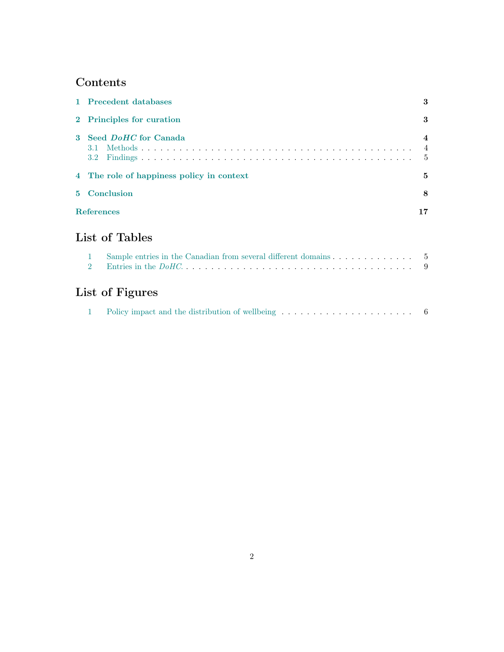## Contents

|              | 1 Precedent databases                                                                               | 3                                                   |
|--------------|-----------------------------------------------------------------------------------------------------|-----------------------------------------------------|
| $\bf{2}$     | Principles for curation                                                                             | 3                                                   |
| $\mathbf{3}$ | Seed <i>DoHC</i> for Canada<br>3.1<br>$3.2^{\circ}$                                                 | $\boldsymbol{4}$<br>$\overline{4}$<br>$\frac{5}{2}$ |
|              | 4 The role of happiness policy in context                                                           | 5                                                   |
| 5.           | Conclusion                                                                                          | 8                                                   |
|              | <b>References</b>                                                                                   | 17                                                  |
|              | List of Tables                                                                                      |                                                     |
|              | 1<br>$\overline{2}$                                                                                 | $5\phantom{0}$<br>9                                 |
|              | List of Figures                                                                                     |                                                     |
|              | Policy impact and the distribution of wellbeing $\dots \dots \dots \dots \dots \dots \dots \dots$ 6 |                                                     |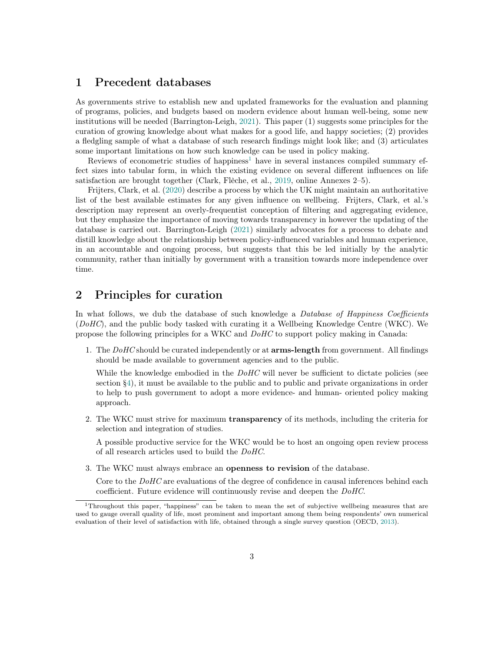### <span id="page-2-0"></span>1 Precedent databases

As governments strive to establish new and updated frameworks for the evaluation and planning of programs, policies, and budgets based on modern evidence about human well-being, some new institutions will be needed (Barrington-Leigh, [2021\)](#page-16-1). This paper (1) suggests some principles for the curation of growing knowledge about what makes for a good life, and happy societies; (2) provides a fledgling sample of what a database of such research findings might look like; and (3) articulates some important limitations on how such knowledge can be used in policy making.

Reviews of econometric studies of happiness<sup>[1](#page-2-2)</sup> have in several instances compiled summary effect sizes into tabular form, in which the existing evidence on several different influences on life satisfaction are brought together (Clark, Flèche, et al., [2019,](#page-16-2) online Annexes 2–5).

Frijters, Clark, et al. [\(2020\)](#page-16-3) describe a process by which the UK might maintain an authoritative list of the best available estimates for any given influence on wellbeing. Frijters, Clark, et al.'s description may represent an overly-frequentist conception of filtering and aggregating evidence, but they emphasize the importance of moving towards transparency in however the updating of the database is carried out. Barrington-Leigh [\(2021\)](#page-16-1) similarly advocates for a process to debate and distill knowledge about the relationship between policy-influenced variables and human experience, in an accountable and ongoing process, but suggests that this be led initially by the analytic community, rather than initially by government with a transition towards more independence over time.

### <span id="page-2-1"></span>2 Principles for curation

In what follows, we dub the database of such knowledge a *Database of Happiness Coefficients*  $(DoHC)$ , and the public body tasked with curating it a Wellbeing Knowledge Centre (WKC). We propose the following principles for a WKC and DoHC to support policy making in Canada:

1. The DoHC should be curated independently or at **arms-length** from government. All findings should be made available to government agencies and to the public.

While the knowledge embodied in the  $DoHC$  will never be sufficient to dictate policies (see section [§4\)](#page-4-1), it must be available to the public and to public and private organizations in order to help to push government to adopt a more evidence- and human- oriented policy making approach.

2. The WKC must strive for maximum transparency of its methods, including the criteria for selection and integration of studies.

A possible productive service for the WKC would be to host an ongoing open review process of all research articles used to build the DoHC.

3. The WKC must always embrace an openness to revision of the database.

Core to the DoHC are evaluations of the degree of confidence in causal inferences behind each coefficient. Future evidence will continuously revise and deepen the DoHC.

<span id="page-2-2"></span><sup>1</sup>Throughout this paper, "happiness" can be taken to mean the set of subjective wellbeing measures that are used to gauge overall quality of life, most prominent and important among them being respondents' own numerical evaluation of their level of satisfaction with life, obtained through a single survey question (OECD, [2013\)](#page-17-0).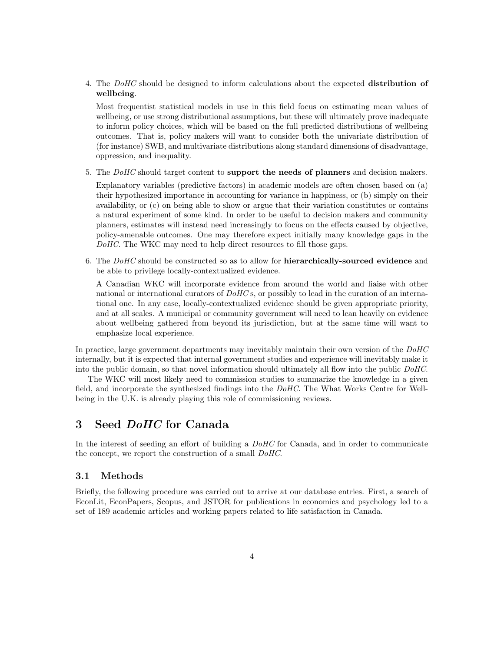4. The DoHC should be designed to inform calculations about the expected distribution of wellbeing.

Most frequentist statistical models in use in this field focus on estimating mean values of wellbeing, or use strong distributional assumptions, but these will ultimately prove inadequate to inform policy choices, which will be based on the full predicted distributions of wellbeing outcomes. That is, policy makers will want to consider both the univariate distribution of (for instance) SWB, and multivariate distributions along standard dimensions of disadvantage, oppression, and inequality.

5. The  $DoHC$  should target content to support the needs of planners and decision makers.

Explanatory variables (predictive factors) in academic models are often chosen based on (a) their hypothesized importance in accounting for variance in happiness, or (b) simply on their availability, or (c) on being able to show or argue that their variation constitutes or contains a natural experiment of some kind. In order to be useful to decision makers and community planners, estimates will instead need increasingly to focus on the effects caused by objective, policy-amenable outcomes. One may therefore expect initially many knowledge gaps in the DoHC. The WKC may need to help direct resources to fill those gaps.

6. The DoHC should be constructed so as to allow for **hierarchically-sourced evidence** and be able to privilege locally-contextualized evidence.

A Canadian WKC will incorporate evidence from around the world and liaise with other national or international curators of  $DoHC$  s, or possibly to lead in the curation of an international one. In any case, locally-contextualized evidence should be given appropriate priority, and at all scales. A municipal or community government will need to lean heavily on evidence about wellbeing gathered from beyond its jurisdiction, but at the same time will want to emphasize local experience.

In practice, large government departments may inevitably maintain their own version of the  $DoHC$ internally, but it is expected that internal government studies and experience will inevitably make it into the public domain, so that novel information should ultimately all flow into the public DoHC.

The WKC will most likely need to commission studies to summarize the knowledge in a given field, and incorporate the synthesized findings into the DoHC. The What Works Centre for Wellbeing in the U.K. is already playing this role of commissioning reviews.

### <span id="page-3-0"></span>3 Seed *DoHC* for Canada

In the interest of seeding an effort of building a DoHC for Canada, and in order to communicate the concept, we report the construction of a small DoHC.

#### <span id="page-3-1"></span>3.1 Methods

Briefly, the following procedure was carried out to arrive at our database entries. First, a search of EconLit, EconPapers, Scopus, and JSTOR for publications in economics and psychology led to a set of 189 academic articles and working papers related to life satisfaction in Canada.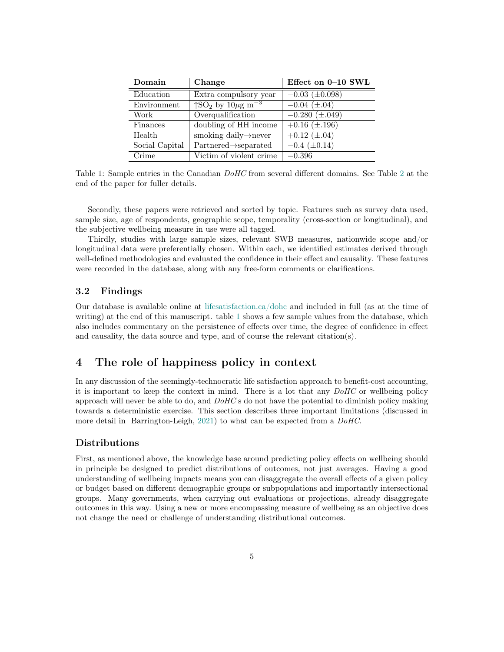| Domain         | Change                                                   | Effect on 0-10 SWL              |
|----------------|----------------------------------------------------------|---------------------------------|
| Education      | Extra compulsory year                                    | $-0.03~(\pm 0.098)$             |
| Environment    | $\sqrt{SO_2}$ by $10\mu\text{g m}^{-3}$                  | $-0.04~(\pm .04)$               |
| Work           | Overqualification                                        | $-0.280 \ (\pm .049)$           |
| Finances       | doubling of HH income                                    | $+0.16 \ (\pm .196)$            |
| Health         | smoking daily $\rightarrow$ never                        | $+0.12 \, \overline{(\pm .04)}$ |
| Social Capital | $\overline{\text{Partnered}\rightarrow\text{separated}}$ | $-0.4~(\pm 0.14)$               |
| Crime          | Victim of violent crime                                  | $-0.396$                        |

<span id="page-4-2"></span>Table 1: Sample entries in the Canadian  $DoHC$  from several different domains. See Table [2](#page-8-0) at the end of the paper for fuller details.

Secondly, these papers were retrieved and sorted by topic. Features such as survey data used, sample size, age of respondents, geographic scope, temporality (cross-section or longitudinal), and the subjective wellbeing measure in use were all tagged.

Thirdly, studies with large sample sizes, relevant SWB measures, nationwide scope and/or longitudinal data were preferentially chosen. Within each, we identified estimates derived through well-defined methodologies and evaluated the confidence in their effect and causality. These features were recorded in the database, along with any free-form comments or clarifications.

#### <span id="page-4-0"></span>3.2 Findings

Our database is available online at [lifesatisfaction.ca/dohc](https://lifesatisfaction.ca/dohc) and included in full (as at the time of writing) at the end of this manuscript. table [1](#page-4-2) shows a few sample values from the database, which also includes commentary on the persistence of effects over time, the degree of confidence in effect and causality, the data source and type, and of course the relevant citation(s).

### <span id="page-4-1"></span>4 The role of happiness policy in context

In any discussion of the seemingly-technocratic life satisfaction approach to benefit-cost accounting, it is important to keep the context in mind. There is a lot that any  $DoHC$  or wellbeing policy approach will never be able to do, and  $DoHC$  s do not have the potential to diminish policy making towards a deterministic exercise. This section describes three important limitations (discussed in more detail in Barrington-Leigh, [2021\)](#page-16-1) to what can be expected from a DoHC.

#### Distributions

First, as mentioned above, the knowledge base around predicting policy effects on wellbeing should in principle be designed to predict distributions of outcomes, not just averages. Having a good understanding of wellbeing impacts means you can disaggregate the overall effects of a given policy or budget based on different demographic groups or subpopulations and importantly intersectional groups. Many governments, when carrying out evaluations or projections, already disaggregate outcomes in this way. Using a new or more encompassing measure of wellbeing as an objective does not change the need or challenge of understanding distributional outcomes.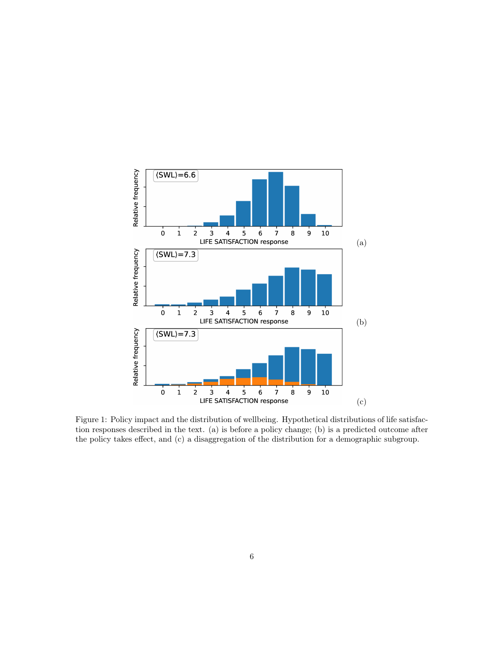

<span id="page-5-0"></span>Figure 1: Policy impact and the distribution of wellbeing. Hypothetical distributions of life satisfaction responses described in the text. (a) is before a policy change; (b) is a predicted outcome after the policy takes effect, and (c) a disaggregation of the distribution for a demographic subgroup.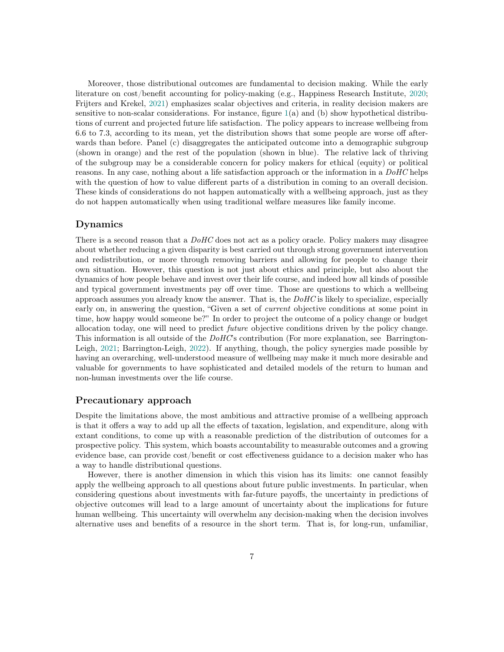Moreover, those distributional outcomes are fundamental to decision making. While the early literature on cost/benefit accounting for policy-making (e.g., Happiness Research Institute, [2020;](#page-16-4) Frijters and Krekel, [2021\)](#page-16-5) emphasizes scalar objectives and criteria, in reality decision makers are sensitive to non-scalar considerations. For instance, figure [1\(](#page-5-0)a) and (b) show hypothetical distributions of current and projected future life satisfaction. The policy appears to increase wellbeing from 6.6 to 7.3, according to its mean, yet the distribution shows that some people are worse off afterwards than before. Panel (c) disaggregates the anticipated outcome into a demographic subgroup (shown in orange) and the rest of the population (shown in blue). The relative lack of thriving of the subgroup may be a considerable concern for policy makers for ethical (equity) or political reasons. In any case, nothing about a life satisfaction approach or the information in a  $DoHC$  helps with the question of how to value different parts of a distribution in coming to an overall decision. These kinds of considerations do not happen automatically with a wellbeing approach, just as they do not happen automatically when using traditional welfare measures like family income.

#### Dynamics

There is a second reason that a  $DoHC$  does not act as a policy oracle. Policy makers may disagree about whether reducing a given disparity is best carried out through strong government intervention and redistribution, or more through removing barriers and allowing for people to change their own situation. However, this question is not just about ethics and principle, but also about the dynamics of how people behave and invest over their life course, and indeed how all kinds of possible and typical government investments pay off over time. Those are questions to which a wellbeing approach assumes you already know the answer. That is, the  $DoHC$  is likely to specialize, especially early on, in answering the question, "Given a set of *current* objective conditions at some point in time, how happy would someone be?" In order to project the outcome of a policy change or budget allocation today, one will need to predict future objective conditions driven by the policy change. This information is all outside of the  $DoHC$ 's contribution (For more explanation, see Barrington-Leigh, [2021;](#page-16-1) Barrington-Leigh, [2022\)](#page-16-6). If anything, though, the policy synergies made possible by having an overarching, well-understood measure of wellbeing may make it much more desirable and valuable for governments to have sophisticated and detailed models of the return to human and non-human investments over the life course.

#### Precautionary approach

Despite the limitations above, the most ambitious and attractive promise of a wellbeing approach is that it offers a way to add up all the effects of taxation, legislation, and expenditure, along with extant conditions, to come up with a reasonable prediction of the distribution of outcomes for a prospective policy. This system, which boasts accountability to measurable outcomes and a growing evidence base, can provide cost/benefit or cost effectiveness guidance to a decision maker who has a way to handle distributional questions.

However, there is another dimension in which this vision has its limits: one cannot feasibly apply the wellbeing approach to all questions about future public investments. In particular, when considering questions about investments with far-future payoffs, the uncertainty in predictions of objective outcomes will lead to a large amount of uncertainty about the implications for future human wellbeing. This uncertainty will overwhelm any decision-making when the decision involves alternative uses and benefits of a resource in the short term. That is, for long-run, unfamiliar,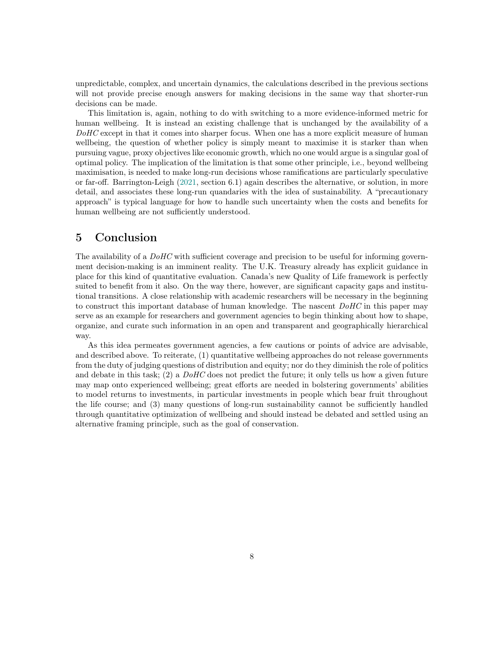unpredictable, complex, and uncertain dynamics, the calculations described in the previous sections will not provide precise enough answers for making decisions in the same way that shorter-run decisions can be made.

This limitation is, again, nothing to do with switching to a more evidence-informed metric for human wellbeing. It is instead an existing challenge that is unchanged by the availability of a DoHC except in that it comes into sharper focus. When one has a more explicit measure of human wellbeing, the question of whether policy is simply meant to maximise it is starker than when pursuing vague, proxy objectives like economic growth, which no one would argue is a singular goal of optimal policy. The implication of the limitation is that some other principle, i.e., beyond wellbeing maximisation, is needed to make long-run decisions whose ramifications are particularly speculative or far-off. Barrington-Leigh [\(2021,](#page-16-1) section 6.1) again describes the alternative, or solution, in more detail, and associates these long-run quandaries with the idea of sustainability. A "precautionary approach" is typical language for how to handle such uncertainty when the costs and benefits for human wellbeing are not sufficiently understood.

### <span id="page-7-0"></span>5 Conclusion

The availability of a  $DoHC$  with sufficient coverage and precision to be useful for informing government decision-making is an imminent reality. The U.K. Treasury already has explicit guidance in place for this kind of quantitative evaluation. Canada's new Quality of Life framework is perfectly suited to benefit from it also. On the way there, however, are significant capacity gaps and institutional transitions. A close relationship with academic researchers will be necessary in the beginning to construct this important database of human knowledge. The nascent DoHC in this paper may serve as an example for researchers and government agencies to begin thinking about how to shape, organize, and curate such information in an open and transparent and geographically hierarchical way.

As this idea permeates government agencies, a few cautions or points of advice are advisable, and described above. To reiterate, (1) quantitative wellbeing approaches do not release governments from the duty of judging questions of distribution and equity; nor do they diminish the role of politics and debate in this task;  $(2)$  a  $DoHC$  does not predict the future; it only tells us how a given future may map onto experienced wellbeing; great efforts are needed in bolstering governments' abilities to model returns to investments, in particular investments in people which bear fruit throughout the life course; and (3) many questions of long-run sustainability cannot be sufficiently handled through quantitative optimization of wellbeing and should instead be debated and settled using an alternative framing principle, such as the goal of conservation.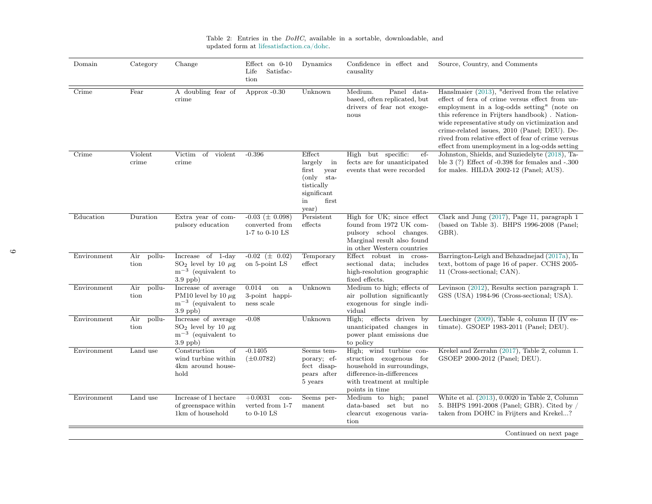<span id="page-8-0"></span>

| Domain      | Category              | Change                                                                                     | Effect on $0-10$<br>Satisfac-<br>Life<br>tion                 | Dynamics                                                                                                      | Confidence in effect and<br>causality                                                                                                                         | Source, Country, and Comments                                                                                                                                                                                                                                                                                                                                                                            |
|-------------|-----------------------|--------------------------------------------------------------------------------------------|---------------------------------------------------------------|---------------------------------------------------------------------------------------------------------------|---------------------------------------------------------------------------------------------------------------------------------------------------------------|----------------------------------------------------------------------------------------------------------------------------------------------------------------------------------------------------------------------------------------------------------------------------------------------------------------------------------------------------------------------------------------------------------|
| Crime       | Fear                  | A doubling fear of<br>crime                                                                | Approx $-0.30$                                                | Unknown                                                                                                       | Medium.<br>Panel data-<br>based, often replicated, but<br>drivers of fear not exoge-<br>nous                                                                  | Hanslmaier (2013), "derived from the relative<br>effect of fera of crime versus effect from un-<br>employment in a log-odds setting" (note on<br>this reference in Frijters handbook). Nation-<br>wide representative study on victimization and<br>crime-related issues, 2010 (Panel; DEU). De-<br>rived from relative effect of fear of crime versus<br>effect from unemployment in a log-odds setting |
| Crime       | Violent<br>crime      | Victim<br>of violent<br>crime                                                              | $-0.396$                                                      | Effect<br>largely<br>in<br>first<br>year<br>$(only$ sta-<br>tistically<br>significant<br>first<br>in<br>year) | High but specific:<br>ef-<br>fects are for unanticipated<br>events that were recorded                                                                         | Johnston, Shields, and Suziedelyte (2018), Ta-<br>ble $3(?)$ Effect of $-0.398$ for females and $-.300$<br>for males. HILDA 2002-12 (Panel; AUS).                                                                                                                                                                                                                                                        |
| Education   | Duration              | Extra year of com-<br>pulsory education                                                    | $-0.03 \ (\pm 0.098)$<br>converted from<br>$1-7$ to $0-10$ LS | Persistent<br>effects                                                                                         | High for UK; since effect<br>found from 1972 UK com-<br>pulsory school changes.<br>Marginal result also found<br>in other Western countries                   | Clark and Jung $(2017)$ , Page 11, paragraph 1<br>(based on Table 3). BHPS 1996-2008 (Panel;<br>GBR).                                                                                                                                                                                                                                                                                                    |
| Environment | pollu-<br>Air<br>tion | Increase of 1-day<br>$SO_2$ level by 10 $\mu$ g<br>$m^{-3}$ (equivalent to<br>$3.9$ ppb)   | $-0.02 \ (\pm 0.02)$<br>on 5-point LS                         | Temporary<br>effect                                                                                           | Effect robust in cross-<br>sectional data; includes<br>high-resolution geographic<br>fixed effects.                                                           | Barrington-Leigh and Behzadnejad (2017a), In<br>text, bottom of page 16 of paper. CCHS 2005-<br>11 (Cross-sectional; CAN).                                                                                                                                                                                                                                                                               |
| Environment | Air<br>pollu-<br>tion | Increase of average<br>PM10 level by 10 $\mu$ g<br>$m^{-3}$ (equivalent to<br>$3.9$ ppb)   | 0.014<br>on<br>a<br>3-point happi-<br>ness scale              | Unknown                                                                                                       | Medium to high; effects of<br>air pollution significantly<br>exogenous for single indi-<br>vidual                                                             | Levinson $(2012)$ , Results section paragraph 1.<br>GSS (USA) 1984-96 (Cross-sectional; USA).                                                                                                                                                                                                                                                                                                            |
| Environment | Air<br>pollu-<br>tion | Increase of average<br>$SO_2$ level by 10 $\mu$ g<br>$m^{-3}$ (equivalent to<br>$3.9$ ppb) | $-0.08$                                                       | Unknown                                                                                                       | effects driven by<br>High;<br>unanticipated changes in<br>power plant emissions due<br>to policy                                                              | Luechinger $(2009)$ , Table 4, column II (IV es-<br>timate). GSOEP 1983-2011 (Panel; DEU).                                                                                                                                                                                                                                                                                                               |
| Environment | Land use              | Construction<br>of<br>wind turbine within<br>4km around house-<br>$_{\rm hold}$            | $-0.1405$<br>$(\pm 0.0782)$                                   | Seems tem-<br>porary; ef-<br>fect disap-<br>pears after<br>5 years                                            | High; wind turbine con-<br>struction exogenous for<br>household in surroundings,<br>difference-in-differences<br>with treatment at multiple<br>points in time | Krekel and Zerrahn (2017), Table 2, column 1.<br>GSOEP 2000-2012 (Panel; DEU).                                                                                                                                                                                                                                                                                                                           |
| Environment | Land use              | Increase of 1 hectare<br>of greenspace within<br>1km of household                          | $+0.0031$<br>con-<br>verted from 1-7<br>to $0-10$ LS          | Seems per-<br>manent                                                                                          | Medium to high; panel<br>data-based set but no<br>clearcut exogenous varia-<br>tion                                                                           | White et al. (2013), 0.0020 in Table 2, Column<br>5. BHPS 1991-2008 (Panel; GBR). Cited by /<br>taken from DOHC in Frijters and Krekel?                                                                                                                                                                                                                                                                  |
|             |                       |                                                                                            |                                                               |                                                                                                               |                                                                                                                                                               | Continued on next page                                                                                                                                                                                                                                                                                                                                                                                   |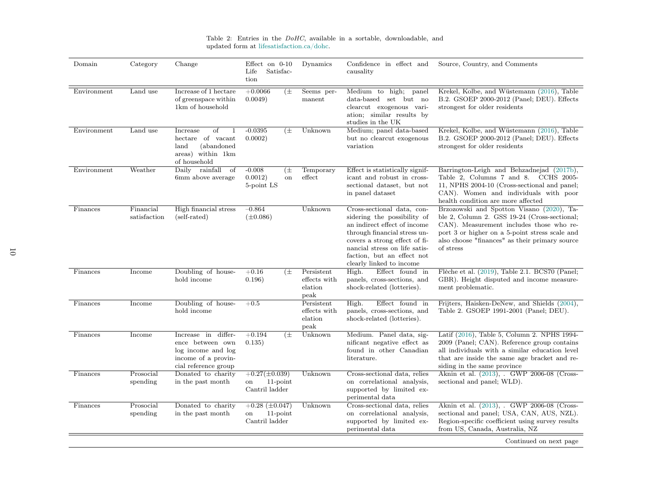| Domain              | Category                  | Change                                                                                                       | Effect on $0-10$<br>Satisfac-<br>Life<br>tion                | Dynamics                                      | Confidence in effect and<br>causality                                                                                                                                                                                                                 | Source, Country, and Comments                                                                                                                                                                                                                          |
|---------------------|---------------------------|--------------------------------------------------------------------------------------------------------------|--------------------------------------------------------------|-----------------------------------------------|-------------------------------------------------------------------------------------------------------------------------------------------------------------------------------------------------------------------------------------------------------|--------------------------------------------------------------------------------------------------------------------------------------------------------------------------------------------------------------------------------------------------------|
| Environment         | Land use                  | Increase of 1 hectare<br>of greenspace within<br>1km of household                                            | $(\pm$<br>$+0.0066$<br>0.0049                                | Seems per-<br>manent                          | Medium to high;<br>panel<br>data-based set but no<br>clearcut exogenous vari-<br>ation; similar results by<br>studies in the UK                                                                                                                       | Krekel, Kolbe, and Wüstemann (2016), Table<br>B.2. GSOEP 2000-2012 (Panel; DEU). Effects<br>strongest for older residents                                                                                                                              |
| $\quad$ Environment | Land use                  | οf<br>Increase<br>hectare of vacant<br>(abandoned<br>land<br>areas) within 1km<br>of household               | $-0.0395$<br>(土<br>0.0002)                                   | Unknown                                       | Medium; panel data-based<br>but no clearcut exogenous<br>variation                                                                                                                                                                                    | Krekel, Kolbe, and Wüstemann (2016), Table<br>B.2. GSOEP 2000-2012 (Panel; DEU). Effects<br>strongest for older residents                                                                                                                              |
| Environment         | Weather                   | Daily rainfall of<br>6mm above average                                                                       | $-0.008$<br>$(\pm$<br>0.0012)<br><sub>on</sub><br>5-point LS | Temporary<br>effect                           | Effect is statistically signif-<br>icant and robust in cross-<br>sectional dataset, but not<br>in panel dataset                                                                                                                                       | Barrington-Leigh and Behzadnejad (2017b),<br>Table 2, Columns 7 and 8.<br>CCHS 2005-<br>11, NPHS 2004-10 (Cross-sectional and panel;<br>CAN). Women and individuals with poor<br>health condition are more affected                                    |
| Finances            | Financial<br>satisfaction | High financial stress<br>(self-rated)                                                                        | $-0.864$<br>$(\pm 0.086)$                                    | Unknown                                       | Cross-sectional data, con-<br>sidering the possibility of<br>an indirect effect of income<br>through financial stress un-<br>covers a strong effect of fi-<br>nancial stress on life satis-<br>faction, but an effect not<br>clearly linked to income | Brzozowski and Spotton Visano (2020), Ta-<br>ble 2, Column 2. GSS 19-24 (Cross-sectional;<br>CAN). Measurement includes those who re-<br>port 3 or higher on a 5-point stress scale and<br>also choose "finances" as their primary source<br>of stress |
| Finances            | Income                    | Doubling of house-<br>hold income                                                                            | $+0.16$<br>$(\pm$<br>0.196)                                  | Persistent<br>effects with<br>elation<br>peak | High.<br>Effect found in<br>panels, cross-sections, and<br>shock-related (lotteries).                                                                                                                                                                 | Flèche et al. (2019), Table 2.1. BCS70 (Panel;<br>GBR). Height disputed and income measure-<br>ment problematic.                                                                                                                                       |
| Finances            | Income                    | Doubling of house-<br>hold income                                                                            | $+0.5$                                                       | Persistent<br>effects with<br>elation<br>peak | High.<br>Effect found in<br>panels, cross-sections, and<br>shock-related (lotteries).                                                                                                                                                                 | Frijters, Haisken-DeNew, and Shields (2004),<br>Table 2. GSOEP 1991-2001 (Panel; DEU).                                                                                                                                                                 |
| Finances            | Income                    | Increase in differ-<br>ence between own<br>log income and log<br>income of a provin-<br>cial reference group | $(\pm$<br>$+0.194$<br>0.135)                                 | Unknown                                       | Medium. Panel data, sig-<br>nificant negative effect as<br>found in other Canadian<br>literature.                                                                                                                                                     | Latif (2016), Table 5, Column 2. NPHS 1994-<br>2009 (Panel; CAN). Reference group contains<br>all individuals with a similar education level<br>that are inside the same age bracket and re-<br>siding in the same province                            |
| Finances            | Prosocial<br>spending     | Donated to charity<br>in the past month                                                                      | $+0.27(\pm 0.039)$<br>$11$ -point<br>on<br>Cantril ladder    | Unknown                                       | Cross-sectional data, relies<br>on correlational analysis,<br>supported by limited ex-<br>perimental data                                                                                                                                             | Aknin et al. (2013), . GWP 2006-08 (Cross-<br>sectional and panel; WLD).                                                                                                                                                                               |
| Finances            | Prosocial<br>spending     | Donated to charity<br>in the past month                                                                      | $+0.28 \ (\pm 0.047)$<br>$11$ -point<br>on<br>Cantril ladder | Unknown                                       | Cross-sectional data, relies<br>on correlational analysis,<br>supported by limited ex-<br>perimental data                                                                                                                                             | Aknin et al. (2013), . GWP 2006-08 (Cross-<br>sectional and panel; USA, CAN, AUS, NZL).<br>Region-specific coefficient using survey results<br>from US, Canada, Australia, NZ                                                                          |
|                     |                           |                                                                                                              |                                                              |                                               |                                                                                                                                                                                                                                                       | Continued on next page                                                                                                                                                                                                                                 |

Table 2: Entries in the  $DoHC$ , available in a sortable, downloadable, and updated form at [lifesatisfaction.ca/dohc.](https://lifesatisfaction.ca/dohc)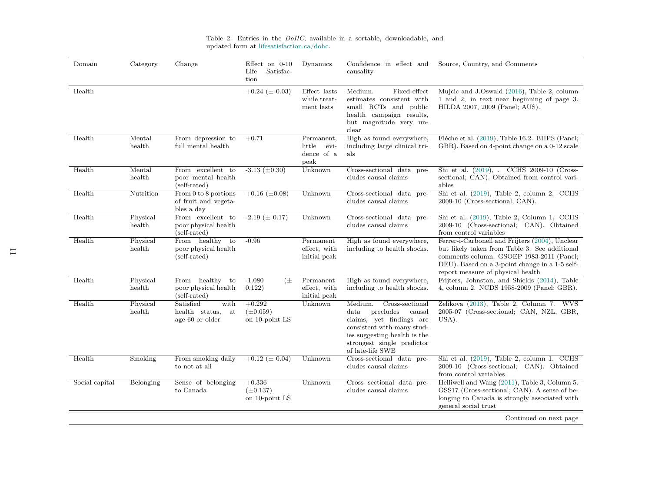| Domain         | Category           | Change                                                         | Effect on $0-10$<br>Satisfac-<br>Life<br>tion | Dynamics                                           | Confidence in effect and<br>causality                                                                                                                                                                          | Source, Country, and Comments                                                                                                                                                                                                       |
|----------------|--------------------|----------------------------------------------------------------|-----------------------------------------------|----------------------------------------------------|----------------------------------------------------------------------------------------------------------------------------------------------------------------------------------------------------------------|-------------------------------------------------------------------------------------------------------------------------------------------------------------------------------------------------------------------------------------|
| Health         |                    |                                                                | $+0.24 \ (\pm 0.03)$                          | Effect lasts<br>while treat-<br>ment lasts         | Fixed-effect<br>Medium.<br>estimates consistent with<br>small RCTs and public<br>health campaign results,<br>but magnitude very un-<br>$_{\rm clear}$                                                          | Mujcic and J.Oswald (2016), Table 2, column<br>1 and 2; in text near beginning of page 3.<br>HILDA 2007, 2009 (Panel; AUS).                                                                                                         |
| Health         | Mental<br>health   | From depression to<br>full mental health                       | $+0.71$                                       | Permanent,<br>little<br>evi-<br>dence of a<br>peak | High as found everywhere,<br>including large clinical tri-<br>als                                                                                                                                              | Flèche et al. (2019), Table 16.2. BHPS (Panel;<br>GBR). Based on 4-point change on a 0-12 scale                                                                                                                                     |
| Health         | Mental<br>health   | From excellent to<br>poor mental health<br>(self-rated)        | $-3.13 \ (\pm 0.30)$                          | Unknown                                            | Cross-sectional data pre-<br>cludes causal claims                                                                                                                                                              | Shi et al. (2019), . CCHS 2009-10 (Cross-<br>sectional; CAN). Obtained from control vari-<br>ables                                                                                                                                  |
| Health         | Nutrition          | From $0$ to $8$ portions<br>of fruit and vegeta-<br>bles a day | $+0.16 \ (\pm 0.08)$                          | Unknown                                            | Cross-sectional data pre-<br>cludes causal claims                                                                                                                                                              | Shi et al. (2019), Table 2, column 2. CCHS<br>2009-10 (Cross-sectional; CAN).                                                                                                                                                       |
| Health         | Physical<br>health | From excellent to<br>poor physical health<br>(self-rated)      | $-2.19 \ (\pm 0.17)$                          | Unknown                                            | Cross-sectional data pre-<br>cludes causal claims                                                                                                                                                              | Shi et al. (2019), Table 2, Column 1. CCHS<br>2009-10 (Cross-sectional; CAN). Obtained<br>from control variables                                                                                                                    |
| Health         | Physical<br>health | From healthy<br>to<br>poor physical health<br>(self-rated)     | $-0.96$                                       | Permanent<br>effect, with<br>initial peak          | High as found everywhere,<br>including to health shocks.                                                                                                                                                       | Ferrer-i-Carbonell and Frijters (2004), Unclear<br>but likely taken from Table 3. See additional<br>comments column. GSOEP 1983-2011 (Panel;<br>DEU). Based on a 3-point change in a 1-5 self-<br>report measure of physical health |
| Health         | Physical<br>health | healthy<br>From<br>to<br>poor physical health<br>(self-rated)  | $-1.080$<br>(±<br>0.122)                      | Permanent<br>effect, with<br>initial peak          | High as found everywhere,<br>including to health shocks.                                                                                                                                                       | Frijters, Johnston, and Shields (2014), Table<br>4, column 2. NCDS 1958-2009 (Panel; GBR).                                                                                                                                          |
| Health         | Physical<br>health | Satisfied<br>with<br>health status,<br>at<br>age 60 or older   | $+0.292$<br>$(\pm 0.059)$<br>on 10-point LS   | Unknown                                            | Medium.<br>Cross-sectional<br>precludes<br>$_{\rm data}$<br>causal<br>claims, yet findings are<br>consistent with many stud-<br>ies suggesting health is the<br>strongest single predictor<br>of late-life SWB | Zelikova (2013), Table 2, Column 7. WVS<br>2005-07 (Cross-sectional; CAN, NZL, GBR,<br>USA).                                                                                                                                        |
| Health         | Smoking            | From smoking daily<br>to not at all                            | $+0.12 \ (\pm 0.04)$                          | Unknown                                            | Cross-sectional data pre-<br>cludes causal claims                                                                                                                                                              | Shi et al. (2019), Table 2, column 1. CCHS<br>2009-10 (Cross-sectional; CAN). Obtained<br>from control variables                                                                                                                    |
| Social capital | Belonging          | Sense of belonging<br>to Canada                                | $+0.336$<br>$(\pm 0.137)$<br>on 10-point LS   | Unknown                                            | Cross sectional data pre-<br>cludes causal claims                                                                                                                                                              | Helliwell and Wang (2011), Table 3, Column 5.<br>GSS17 (Cross-sectional; CAN). A sense of be-<br>longing to Canada is strongly associated with<br>general social trust                                                              |
|                |                    |                                                                |                                               |                                                    |                                                                                                                                                                                                                | Continued on next page                                                                                                                                                                                                              |

Table 2: Entries in the  $DoHC$ , available in a sortable, downloadable, and updated form at [lifesatisfaction.ca/dohc.](https://lifesatisfaction.ca/dohc)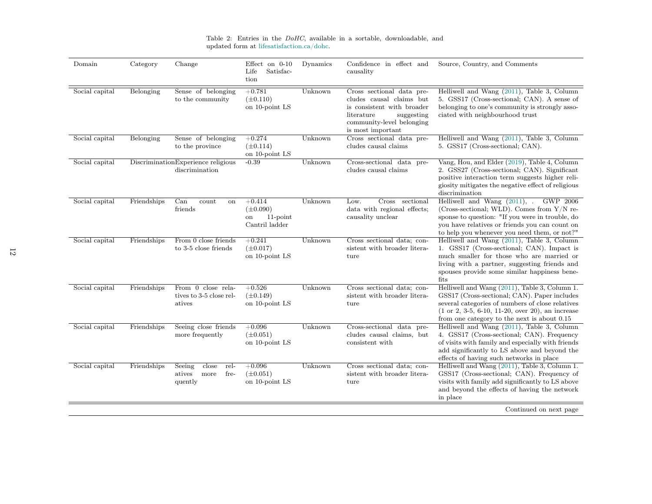| Domain         | Category    | Change                                                       | Effect on $0-10$<br>Satisfac-<br>Life<br>tion                    | Dynamics | Confidence in effect and<br>causality                                                                                                                             | Source, Country, and Comments                                                                                                                                                                                                                                             |
|----------------|-------------|--------------------------------------------------------------|------------------------------------------------------------------|----------|-------------------------------------------------------------------------------------------------------------------------------------------------------------------|---------------------------------------------------------------------------------------------------------------------------------------------------------------------------------------------------------------------------------------------------------------------------|
| Social capital | Belonging   | Sense of belonging<br>to the community                       | $+0.781$<br>$(\pm 0.110)$<br>on 10-point LS                      | Unknown  | Cross sectional data pre-<br>cludes causal claims but<br>is consistent with broader<br>literature<br>suggesting<br>community-level belonging<br>is most important | Helliwell and Wang (2011), Table 3, Column<br>5. GSS17 (Cross-sectional; CAN). A sense of<br>belonging to one's community is strongly asso-<br>ciated with neighbourhood trust                                                                                            |
| Social capital | Belonging   | Sense of belonging<br>to the province                        | $+0.274$<br>$(\pm 0.114)$<br>on 10-point LS                      | Unknown  | Cross sectional data pre-<br>cludes causal claims                                                                                                                 | Helliwell and Wang (2011), Table 3, Column<br>5. GSS17 (Cross-sectional; CAN).                                                                                                                                                                                            |
| Social capital |             | DiscriminationExperience religious<br>discrimination         | $-0.39$                                                          | Unknown  | Cross-sectional data pre-<br>cludes causal claims                                                                                                                 | Vang, Hou, and Elder (2019), Table 4, Column<br>2. GSS27 (Cross-sectional; CAN). Significant<br>positive interaction term suggests higher reli-<br>giosity mitigates the negative effect of religious<br>discrimination                                                   |
| Social capital | Friendships | Can<br>count<br><sub>on</sub><br>friends                     | $+0.414$<br>$(\pm 0.090)$<br>$11$ -point<br>on<br>Cantril ladder | Unknown  | Low.<br>Cross<br>sectional<br>data with regional effects;<br>causality unclear                                                                                    | Helliwell and Wang $(2011)$ , .<br>GWP 2006<br>(Cross-sectional; WLD). Comes from $Y/N$ re-<br>sponse to question: "If you were in trouble, do<br>you have relatives or friends you can count on<br>to help you whenever you need them, or not?"                          |
| Social capital | Friendships | From 0 close friends<br>to 3-5 close friends                 | $+0.241$<br>$(\pm 0.017)$<br>on 10-point LS                      | Unknown  | Cross sectional data; con-<br>sistent with broader litera-<br>ture                                                                                                | Helliwell and Wang (2011), Table 3, Column<br>1. GSS17 (Cross-sectional; CAN). Impact is<br>much smaller for those who are married or<br>living with a partner, suggesting friends and<br>spouses provide some similar happiness bene-<br>$_{\rm fits}$                   |
| Social capital | Friendships | From 0 close rela-<br>tives to 3-5 close rel-<br>atives      | $+0.526$<br>$(\pm 0.149)$<br>on 10-point LS                      | Unknown  | Cross sectional data; con-<br>sistent with broader litera-<br>ture                                                                                                | Helliwell and Wang (2011), Table 3, Column 1.<br>GSS17 (Cross-sectional; CAN). Paper includes<br>several categories of numbers of close relatives<br>$(1 \text{ or } 2, 3-5, 6-10, 11-20, \text{ over } 20)$ , an increase<br>from one category to the next is about 0.15 |
| Social capital | Friendships | Seeing close friends<br>more frequently                      | $+0.096$<br>$(\pm 0.051)$<br>on 10-point LS                      | Unknown  | Cross-sectional data pre-<br>cludes causal claims, but<br>consistent with                                                                                         | Helliwell and Wang (2011), Table 3, Column<br>4. GSS17 (Cross-sectional; CAN). Frequency<br>of visits with family and especially with friends<br>add significantly to LS above and beyond the<br>effects of having such networks in place                                 |
| Social capital | Friendships | Seeing<br>close<br>rel-<br>fre-<br>atives<br>more<br>quently | $+0.096$<br>$(\pm 0.051)$<br>on 10-point LS                      | Unknown  | Cross sectional data; con-<br>sistent with broader litera-<br>ture                                                                                                | Helliwell and Wang (2011), Table 3, Column 1.<br>GSS17 (Cross-sectional; CAN). Frequency of<br>visits with family add significantly to LS above<br>and beyond the effects of having the network<br>in place<br>Continued on next page                                     |

page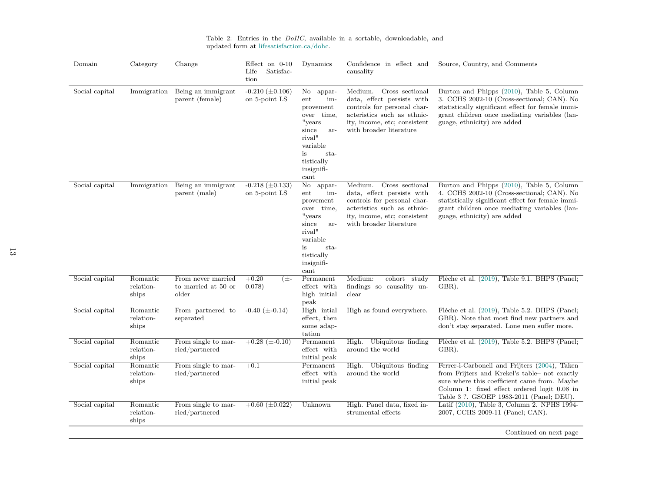| Domain         | Category                       | Change                                             | Effect on $0-10$<br>Satisfac-<br>Life<br>tion | Dynamics                                                                                                                                                                      | Confidence in effect and<br>causality                                                                                                                                             | Source, Country, and Comments                                                                                                                                                                                                              |
|----------------|--------------------------------|----------------------------------------------------|-----------------------------------------------|-------------------------------------------------------------------------------------------------------------------------------------------------------------------------------|-----------------------------------------------------------------------------------------------------------------------------------------------------------------------------------|--------------------------------------------------------------------------------------------------------------------------------------------------------------------------------------------------------------------------------------------|
| Social capital | Immigration                    | Being an immigrant<br>parent (female)              | $-0.210 \ (\pm 0.106)$<br>on 5-point LS       | $\rm No$<br>appar-<br>ent<br>im-<br>provement<br>over time,<br>"years<br>since<br>ar-<br>$\operatorname{rival}$<br>variable<br>is<br>sta-<br>tistically<br>insignifi-<br>cant | Cross sectional<br>Medium.<br>data, effect persists with<br>controls for personal char-<br>acteristics such as ethnic-<br>ity, income, etc; consistent<br>with broader literature | Burton and Phipps (2010), Table 5, Column<br>3. CCHS 2002-10 (Cross-sectional; CAN). No<br>statistically significant effect for female immi-<br>grant children once mediating variables (lan-<br>guage, ethnicity) are added               |
| Social capital | Immigration                    | Being an immigrant<br>parent (male)                | $-0.218 \ (\pm 0.133)$<br>on 5-point LS       | No<br>appar-<br>im-<br>ent<br>provement<br>over time,<br>"years<br>since<br>ar-<br>$\operatorname{rival}$<br>variable<br>is<br>sta-<br>tistically<br>insignifi-<br>cant       | Cross sectional<br>Medium.<br>data, effect persists with<br>controls for personal char-<br>acteristics such as ethnic-<br>ity, income, etc; consistent<br>with broader literature | Burton and Phipps (2010), Table 5, Column<br>4. CCHS 2002-10 (Cross-sectional; CAN). No<br>statistically significant effect for female immi-<br>grant children once mediating variables (lan-<br>guage, ethnicity) are added               |
| Social capital | Romantic<br>relation-<br>ships | From never married<br>to married at 50 or<br>older | $+0.20$<br>(土-<br>0.078)                      | Permanent<br>effect with<br>high initial<br>peak                                                                                                                              | Medium:<br>cohort study<br>findings so causality un-<br>clear                                                                                                                     | Flèche et al. (2019), Table 9.1. BHPS (Panel;<br>GBR).                                                                                                                                                                                     |
| Social capital | Romantic<br>relation-<br>ships | From partnered to<br>separated                     | $-0.40 \ (\pm 0.14)$                          | High intial<br>effect, then<br>some adap-<br>tation                                                                                                                           | High as found everywhere.                                                                                                                                                         | Flèche et al. (2019), Table 5.2. BHPS (Panel;<br>GBR). Note that most find new partners and<br>don't stay separated. Lone men suffer more.                                                                                                 |
| Social capital | Romantic<br>relation-<br>ships | From single to mar-<br>ried/partnered              | $+0.28 \ (\pm 0.10)$                          | Permanent<br>effect with<br>initial peak                                                                                                                                      | High. Ubiquitous finding<br>around the world                                                                                                                                      | Flèche et al. (2019), Table 5.2. BHPS (Panel;<br>GBR).                                                                                                                                                                                     |
| Social capital | Romantic<br>relation-<br>ships | From single to mar-<br>ried/partnered              | $+0.1$                                        | Permanent<br>effect with<br>initial peak                                                                                                                                      | High. Ubiquitous finding<br>around the world                                                                                                                                      | Ferrer-i-Carbonell and Frijters (2004), Taken<br>from Frijters and Krekel's table- not exactly<br>sure where this coefficient came from. Maybe<br>Column 1: fixed effect ordered logit 0.08 in<br>Table 3 ?. GSOEP 1983-2011 (Panel; DEU). |
| Social capital | Romantic<br>relation-<br>ships | From single to mar-<br>ried/partnered              | $+0.60~(\pm 0.022)$                           | Unknown                                                                                                                                                                       | High. Panel data, fixed in-<br>strumental effects                                                                                                                                 | Latif (2010), Table 3, Column 2. NPHS 1994-<br>2007, CCHS 2009-11 (Panel; CAN).                                                                                                                                                            |
|                |                                |                                                    |                                               |                                                                                                                                                                               |                                                                                                                                                                                   | Continued on next page                                                                                                                                                                                                                     |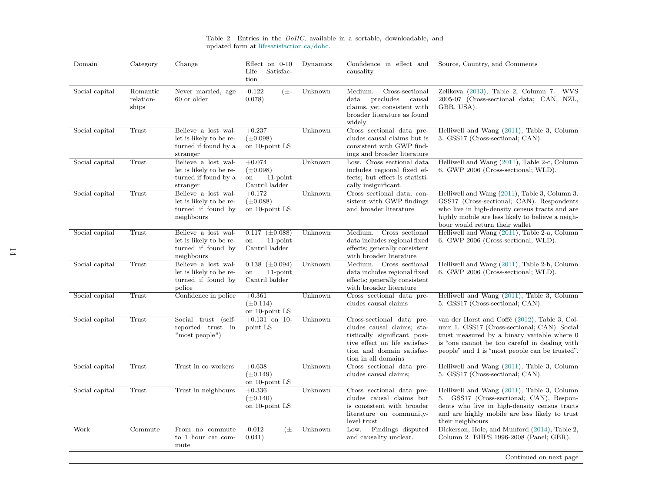| Domain         | Category                       | Change                                                                             | Effect on $0-10$<br>Satisfac-<br>Life<br>tion                    | Dynamics | Confidence in effect and<br>causality                                                                                                                                        | Source, Country, and Comments                                                                                                                                                                                                                  |
|----------------|--------------------------------|------------------------------------------------------------------------------------|------------------------------------------------------------------|----------|------------------------------------------------------------------------------------------------------------------------------------------------------------------------------|------------------------------------------------------------------------------------------------------------------------------------------------------------------------------------------------------------------------------------------------|
| Social capital | Romantic<br>relation-<br>ships | Never married, age<br>60 or older                                                  | $-0.122$<br>$(\pm -$<br>0.078)                                   | Unknown  | Medium.<br>Cross-sectional<br>precludes<br>causal<br>$_{\rm data}$<br>claims, yet consistent with<br>broader literature as found<br>widely                                   | Zelikova (2013), Table 2, Column 7.<br><b>WVS</b><br>2005-07 (Cross-sectional data; CAN, NZL,<br>GBR, USA).                                                                                                                                    |
| Social capital | Trust                          | Believe a lost wal-<br>let is likely to be re-<br>turned if found by a<br>stranger | $+0.237$<br>$(\pm 0.098)$<br>on 10-point LS                      | Unknown  | Cross sectional data pre-<br>cludes causal claims but is<br>consistent with GWP find-<br>ings and broader literature                                                         | Helliwell and Wang (2011), Table 3, Column<br>3. GSS17 (Cross-sectional; CAN).                                                                                                                                                                 |
| Social capital | Trust                          | Believe a lost wal-<br>let is likely to be re-<br>turned if found by a<br>stranger | $+0.074$<br>$(\pm 0.098)$<br>$11$ -point<br>on<br>Cantril ladder | Unknown  | Low. Cross sectional data<br>includes regional fixed ef-<br>fects; but effect is statisti-<br>cally insignificant.                                                           | Helliwell and Wang (2011), Table 2-c, Column<br>6. GWP 2006 (Cross-sectional; WLD).                                                                                                                                                            |
| Social capital | Trust                          | Believe a lost wal-<br>let is likely to be re-<br>turned if found by<br>neighbours | $+0.172$<br>$(\pm 0.088)$<br>on 10-point LS                      | Unknown  | Cross sectional data; con-<br>sistent with GWP findings<br>and broader literature                                                                                            | Helliwell and Wang (2011), Table 3, Column 3.<br>GSS17 (Cross-sectional; CAN). Respondents<br>who live in high-density census tracts and are<br>highly mobile are less likely to believe a neigh-<br>bour would return their wallet            |
| Social capital | Trust                          | Believe a lost wal-<br>let is likely to be re-<br>turned if found by<br>neighbours | $0.117 \ (\pm 0.088)$<br>$11$ -point<br>on<br>Cantril ladder     | Unknown  | Medium. Cross sectional<br>data includes regional fixed<br>effects; generally consistent<br>with broader literature                                                          | Helliwell and Wang (2011), Table 2-a, Column<br>6. GWP 2006 (Cross-sectional; WLD).                                                                                                                                                            |
| Social capital | Trust                          | Believe a lost wal-<br>let is likely to be re-<br>turned if found by<br>police     | $0.138 \ (\pm 0.094)$<br>$11$ -point<br>on<br>Cantril ladder     | Unknown  | Medium. Cross sectional<br>data includes regional fixed<br>effects; generally consistent<br>with broader literature                                                          | Helliwell and Wang (2011), Table 2-b, Column<br>6. GWP 2006 (Cross-sectional; WLD).                                                                                                                                                            |
| Social capital | Trust                          | Confidence in police                                                               | $+0.361$<br>$(\pm 0.114)$<br>on 10-point LS                      | Unknown  | Cross sectional data pre-<br>cludes causal claims                                                                                                                            | Helliwell and Wang (2011), Table 3, Column<br>5. GSS17 (Cross-sectional; CAN).                                                                                                                                                                 |
| Social capital | Trust                          | Social trust<br>$(self-$<br>reported trust in<br>"most people")                    | $+0.131$ on 10-<br>point LS                                      | Unknown  | Cross-sectional data pre-<br>cludes causal claims; sta-<br>tistically significant posi-<br>tive effect on life satisfac-<br>tion and domain satisfac-<br>tion in all domains | van der Horst and Coffé (2012), Table 3, Col-<br>umn 1. GSS17 (Cross-sectional; CAN). Social<br>trust measured by a binary variable where 0<br>is "one cannot be too careful in dealing with<br>people" and 1 is "most people can be trusted". |
| Social capital | Trust                          | Trust in co-workers                                                                | $+0.638$<br>$(\pm 0.149)$<br>on 10-point LS                      | Unknown  | Cross sectional data pre-<br>cludes causal claims;                                                                                                                           | Helliwell and Wang (2011), Table 3, Column<br>5. GSS17 (Cross-sectional; CAN).                                                                                                                                                                 |
| Social capital | Trust                          | Trust in neighbours                                                                | $+0.336$<br>$(\pm 0.140)$<br>on 10-point LS                      | Unknown  | Cross sectional data pre-<br>cludes causal claims but<br>is consistent with broader<br>literature on community-<br>level trust                                               | Helliwell and Wang (2011), Table 3, Column<br>5. GSS17 (Cross-sectional; CAN). Respon-<br>dents who live in high-density census tracts<br>and are highly mobile are less likely to trust<br>their neighbours                                   |
| Work           | Commute                        | From no commute<br>to 1 hour car com-<br>mute                                      | $-0.012$<br>(±<br>0.041)                                         | Unknown  | Findings disputed<br>Low.<br>and causality unclear.                                                                                                                          | Dickerson, Hole, and Munford (2014), Table 2,<br>Column 2. BHPS 1996-2008 (Panel; GBR).                                                                                                                                                        |

Table 2: Entries in the  $DoHC$ , available in a sortable, downloadable, and updated form at [lifesatisfaction.ca/dohc.](https://lifesatisfaction.ca/dohc)

Continued on next page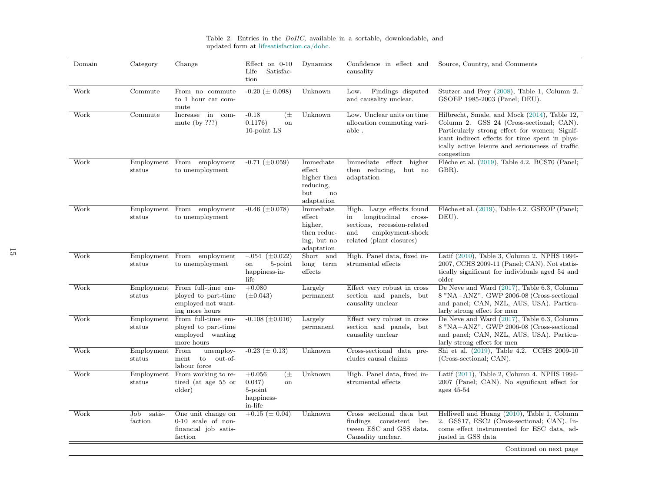| Domain | Category                    | Change                                                                            | Effect on $0-10$<br>Satisfac-<br>Life<br>tion                          | Dynamics                                                                   | Confidence in effect and<br>causality                                                                                                           | Source, Country, and Comments                                                                                                                                                                                                                                 |
|--------|-----------------------------|-----------------------------------------------------------------------------------|------------------------------------------------------------------------|----------------------------------------------------------------------------|-------------------------------------------------------------------------------------------------------------------------------------------------|---------------------------------------------------------------------------------------------------------------------------------------------------------------------------------------------------------------------------------------------------------------|
| Work   | $\overline{\text{Commute}}$ | From no commute<br>to 1 hour car com-<br>mute                                     | $-0.20 \ (\pm 0.098)$                                                  | Unknown                                                                    | Findings disputed<br>Low.<br>and causality unclear.                                                                                             | Stutzer and Frey (2008), Table 1, Column 2.<br>GSOEP 1985-2003 (Panel; DEU).                                                                                                                                                                                  |
| Work   | Commute                     | Increase in<br>com-<br>mute (by $???)$                                            | $-0.18$<br>(±<br>0.1176)<br>on<br>10-point LS                          | Unknown                                                                    | Low. Unclear units on time<br>allocation commuting vari-<br>able.                                                                               | Hilbrecht, Smale, and Mock (2014), Table 12,<br>Column 2. GSS 24 (Cross-sectional; CAN).<br>Particularly strong effect for women; Signif-<br>icant indirect effects for time spent in phys-<br>ically active leisure and seriousness of traffic<br>congestion |
| Work   | Employment<br>status        | From employment<br>to unemployment                                                | $-0.71 \ (\pm 0.059)$                                                  | Immediate<br>effect<br>higher then<br>reducing,<br>but<br>no<br>adaptation | Immediate<br>effect<br>higher<br>then reducing,<br>but no<br>adaptation                                                                         | Flèche et al. (2019), Table 4.2. BCS70 (Panel;<br>GBR).                                                                                                                                                                                                       |
| Work   | Employment<br>status        | From employment<br>to unemployment                                                | $-0.46~(\pm 0.078)$                                                    | Immediate<br>effect<br>higher,<br>then reduc-<br>ing, but no<br>adaptation | High. Large effects found<br>longitudinal<br>cross-<br>in<br>sections, recession-related<br>employment-shock<br>and<br>related (plant closures) | Flèche et al. (2019), Table 4.2. GSEOP (Panel;<br>DEU).                                                                                                                                                                                                       |
| Work   | Employment<br>status        | employment<br>From<br>to unemployment                                             | $-.054$<br>$(\pm 0.022)$<br>5-point<br>on<br>happiness-in-<br>life     | Short and<br>$long$ term<br>effects                                        | High. Panel data, fixed in-<br>strumental effects                                                                                               | Latif (2010), Table 3, Column 2. NPHS 1994-<br>2007, CCHS 2009-11 (Panel; CAN). Not statis-<br>tically significant for individuals aged 54 and<br>older                                                                                                       |
| Work   | Employment<br>status        | From full-time em-<br>ployed to part-time<br>employed not want-<br>ing more hours | $+0.080$<br>$(\pm 0.043)$                                              | Largely<br>permanent                                                       | Effect very robust in cross<br>section and panels, but<br>causality unclear                                                                     | De Neve and Ward (2017), Table 6.3, Column<br>8 "NA+ANZ". GWP 2006-08 (Cross-sectional<br>and panel; CAN, NZL, AUS, USA). Particu-<br>larly strong effect for men                                                                                             |
| Work   | Employment<br>status        | From full-time em-<br>ployed to part-time<br>employed wanting<br>more hours       | $-0.108 \ (\pm 0.016)$                                                 | Largely<br>permanent                                                       | Effect very robust in cross<br>section and panels, but<br>causality unclear                                                                     | De Neve and Ward (2017), Table 6.3, Column<br>8 "NA+ANZ". GWP 2006-08 (Cross-sectional<br>and panel; CAN, NZL, AUS, USA). Particu-<br>larly strong effect for men                                                                                             |
| Work   | Employment<br>status        | From<br>unemploy-<br>to<br>out-of-<br>ment<br>labour force                        | $-0.23 \ (\pm 0.13)$                                                   | Unknown                                                                    | Cross-sectional data pre-<br>cludes causal claims                                                                                               | Shi et al. (2019), Table 4.2. CCHS 2009-10<br>(Cross-sectional; CAN).                                                                                                                                                                                         |
| Work   | Employment<br>status        | From working to re-<br>tired (at age 55 or<br>older)                              | $+0.056$<br>$(\pm$<br>0.047)<br>on<br>5-point<br>happiness-<br>in-life | Unknown                                                                    | High. Panel data, fixed in-<br>strumental effects                                                                                               | Latif (2011), Table 2, Column 4. NPHS 1994-<br>2007 (Panel; CAN). No significant effect for<br>ages $45-54$                                                                                                                                                   |
| Work   | Job<br>satis-<br>faction    | One unit change on<br>$0-10$ scale of non-<br>financial job satis-<br>faction     | $+0.15 \ (\pm 0.04)$                                                   | Unknown                                                                    | Cross sectional data but<br>findings consistent<br>be-<br>tween ESC and GSS data.<br>Causality unclear.                                         | Helliwell and Huang (2010), Table 1, Column<br>2. GSS17, ESC2 (Cross-sectional; CAN). In-<br>come effect instrumented for ESC data, ad-<br>justed in GSS data                                                                                                 |
|        |                             |                                                                                   |                                                                        |                                                                            |                                                                                                                                                 | Continued on next page                                                                                                                                                                                                                                        |

Table 2: Entries in the  $DoHC$ , available in a sortable, downloadable, and updated form at [lifesatisfaction.ca/dohc.](https://lifesatisfaction.ca/dohc)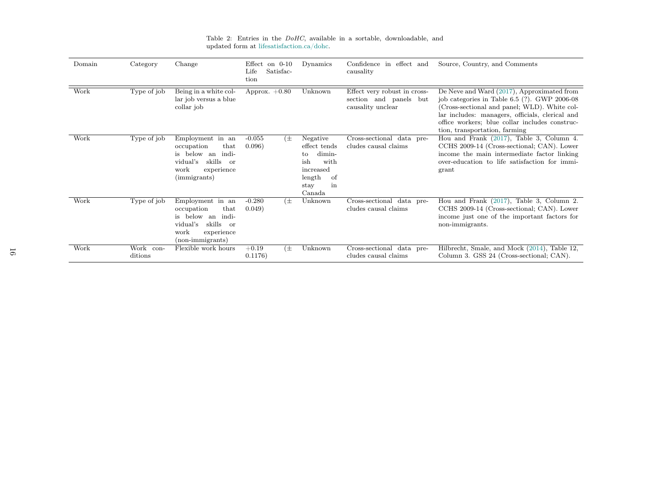| Domain | Category                | Change                                                                                                                                              | Effect on $0-10$<br>Satisfac-<br>Life<br>tion | Dynamics                                                                                                     | Confidence in effect and<br>causality                                       | Source, Country, and Comments                                                                                                                                                                                                                                                      |
|--------|-------------------------|-----------------------------------------------------------------------------------------------------------------------------------------------------|-----------------------------------------------|--------------------------------------------------------------------------------------------------------------|-----------------------------------------------------------------------------|------------------------------------------------------------------------------------------------------------------------------------------------------------------------------------------------------------------------------------------------------------------------------------|
| Work   | Type of job             | Being in a white col-<br>lar job versus a blue<br>collar job                                                                                        | Approx. $+0.80$                               | Unknown                                                                                                      | Effect very robust in cross-<br>section and panels but<br>causality unclear | De Neve and Ward (2017), Approximated from<br>job categories in Table $6.5$ (?). GWP 2006-08<br>(Cross-sectional and panel; WLD). White col-<br>lar includes: managers, officials, clerical and<br>office workers; blue collar includes construc-<br>tion, transportation, farming |
| Work   | Type of job             | Employment in an<br>occupation<br>that<br>is below an indi-<br>skills or<br>vidual's<br>work<br>experience<br>(immigrants)                          | $-0.055$<br>$(\pm$<br>0.096)                  | Negative<br>effect tends<br>dimin-<br>to<br>with<br>ish<br>increased<br>length<br>of<br>stay<br>in<br>Canada | Cross-sectional data pre-<br>cludes causal claims                           | Hou and Frank (2017), Table 3, Column 4.<br>CCHS 2009-14 (Cross-sectional; CAN). Lower<br>income the main intermediate factor linking<br>over-education to life satisfaction for immi-<br>grant                                                                                    |
| Work   | Type of job             | Employment in an<br>occupation<br>$_{\rm that}$<br>is below an<br>indi-<br>vidual's<br>skills<br>$\alpha$<br>work<br>experience<br>(non-immigrants) | $-0.280$<br>$(\pm$<br>0.049)                  | Unknown                                                                                                      | Cross-sectional data pre-<br>cludes causal claims                           | Hou and Frank (2017), Table 3, Column 2.<br>CCHS 2009-14 (Cross-sectional; CAN). Lower<br>income just one of the important factors for<br>non-immigrants.                                                                                                                          |
| Work   | Work<br>con-<br>ditions | Flexible work hours                                                                                                                                 | $+0.19$<br>$(\pm$<br>0.1176)                  | Unknown                                                                                                      | Cross-sectional data pre-<br>cludes causal claims                           | Hilbrecht, Smale, and Mock (2014), Table 12,<br>Column 3. GSS 24 (Cross-sectional; CAN).                                                                                                                                                                                           |

Table 2: Entries in the  $DoHC$ , available in a sortable, downloadable, and updated form at [lifesatisfaction.ca/dohc.](https://lifesatisfaction.ca/dohc)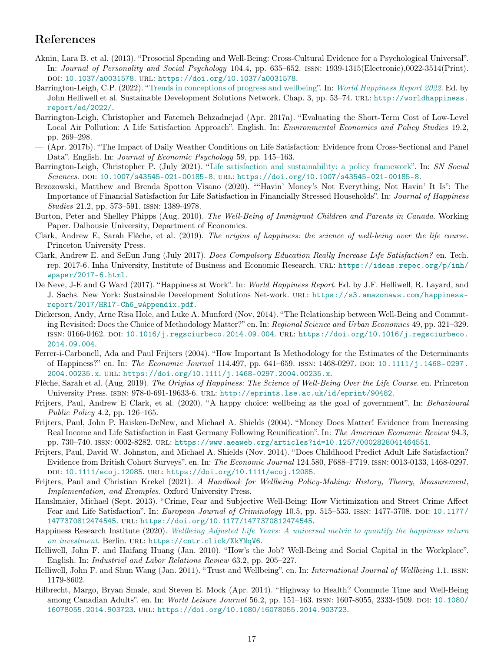### <span id="page-16-22"></span><span id="page-16-21"></span><span id="page-16-20"></span><span id="page-16-19"></span><span id="page-16-18"></span><span id="page-16-17"></span><span id="page-16-16"></span><span id="page-16-15"></span><span id="page-16-14"></span><span id="page-16-13"></span><span id="page-16-12"></span><span id="page-16-11"></span><span id="page-16-10"></span><span id="page-16-9"></span><span id="page-16-8"></span><span id="page-16-7"></span><span id="page-16-0"></span>References

- Aknin, Lara B. et al. (2013). "Prosocial Spending and Well-Being: Cross-Cultural Evidence for a Psychological Universal". In: Journal of Personality and Social Psychology 104.4, pp. 635–652. issn: 1939-1315(Electronic),0022-3514(Print). doi: [10.1037/a0031578](https://doi.org/10.1037/a0031578). url: <https://doi.org/10.1037/a0031578>.
- <span id="page-16-6"></span>Barrington-Leigh, C.P. (2022). ["Trends in conceptions of progress and wellbeing"](http://wellbeing.ihsp.mcgill.ca/?p=pubs#WHR2022). In: [World Happiness Report 2022](http://worldhappiness.report/ed/2022/). Ed. by John Helliwell et al. Sustainable Development Solutions Network. Chap. 3, pp. 53–74. URL: [http://worldhappiness.](http://worldhappiness.report/ed/2022/) [report/ed/2022/](http://worldhappiness.report/ed/2022/).
- Barrington-Leigh, Christopher and Fatemeh Behzadnejad (Apr. 2017a). "Evaluating the Short-Term Cost of Low-Level Local Air Pollution: A Life Satisfaction Approach". English. In: *Environmental Economics and Policy Studies* 19.2, pp. 269–298.
- (Apr. 2017b). "The Impact of Daily Weather Conditions on Life Satisfaction: Evidence from Cross-Sectional and Panel Data". English. In: Journal of Economic Psychology 59, pp. 145–163.
- <span id="page-16-1"></span>Barrington-Leigh, Christopher P. (July 2021). "[Life satisfaction and sustainability: a policy framework"](http://alum.mit.edu/www/cpbl/publications/Barrington-Leigh-SNSS2021-budgeting-for-happiness.pdf). In: SN Social Sciences. DOI: [10.1007/s43545-021-00185-8](https://doi.org/10.1007/s43545-021-00185-8). URL: <https://doi.org/10.1007/s43545-021-00185-8>.
- Brzozowski, Matthew and Brenda Spotton Visano (2020). ""Havin' Money's Not Everything, Not Havin' It Is": The Importance of Financial Satisfaction for Life Satisfaction in Financially Stressed Households". In: Journal of Happiness Studies 21.2, pp. 573–591. issn: 1389-4978.
- Burton, Peter and Shelley Phipps (Aug. 2010). The Well-Being of Immigrant Children and Parents in Canada. Working Paper. Dalhousie University, Department of Economics.
- <span id="page-16-2"></span>Clark, Andrew E, Sarah Flèche, et al. (2019). The origins of happiness: the science of well-being over the life course. Princeton University Press.
- Clark, Andrew E. and SeEun Jung (July 2017). Does Compulsory Education Really Increase Life Satisfaction? en. Tech. rep. 2017-6. Inha University, Institute of Business and Economic Research. url: [https://ideas.repec.org/p/inh/](https://ideas.repec.org/p/inh/wpaper/2017-6.html) [wpaper/2017-6.html](https://ideas.repec.org/p/inh/wpaper/2017-6.html).
- De Neve, J-E and G Ward (2017). "Happiness at Work". In: World Happiness Report. Ed. by J.F. Helliwell, R. Layard, and J. Sachs. New York: Sustainable Development Solutions Net-work. url: [https://s3.amazonaws.com/happiness](https://s3.amazonaws.com/happiness-report/2017/HR17-Ch6_wAppendix.pdf)[report/2017/HR17-Ch6\\_wAppendix.pdf](https://s3.amazonaws.com/happiness-report/2017/HR17-Ch6_wAppendix.pdf).
- Dickerson, Andy, Arne Risa Hole, and Luke A. Munford (Nov. 2014). "The Relationship between Well-Being and Commuting Revisited: Does the Choice of Methodology Matter?" en. In: Regional Science and Urban Economics 49, pp. 321–329. issn: 0166-0462. doi: [10.1016/j.regsciurbeco.2014.09.004](https://doi.org/10.1016/j.regsciurbeco.2014.09.004). url: [https://doi.org/10.1016/j.regsciurbeco.](https://doi.org/10.1016/j.regsciurbeco.2014.09.004) [2014.09.004](https://doi.org/10.1016/j.regsciurbeco.2014.09.004).
- Ferrer-i-Carbonell, Ada and Paul Frijters (2004). "How Important Is Methodology for the Estimates of the Determinants of Happiness?" en. In: The Economic Journal 114.497, pp. 641–659. issn: 1468-0297. doi: [10.1111/j.1468- 0297.](https://doi.org/10.1111/j.1468-0297.2004.00235.x) [2004.00235.x](https://doi.org/10.1111/j.1468-0297.2004.00235.x). url: <https://doi.org/10.1111/j.1468-0297.2004.00235.x>.
- Flèche, Sarah et al. (Aug. 2019). The Origins of Happiness: The Science of Well-Being Over the Life Course. en. Princeton University Press. ISBN: 978-0-691-19633-6. URL: <http://eprints.lse.ac.uk/id/eprint/90482>.
- <span id="page-16-3"></span>Frijters, Paul, Andrew E Clark, et al. (2020). "A happy choice: wellbeing as the goal of government". In: Behavioural Public Policy 4.2, pp. 126–165.
- Frijters, Paul, John P. Haisken-DeNew, and Michael A. Shields (2004). "Money Does Matter! Evidence from Increasing Real Income and Life Satisfaction in East Germany Following Reunification". In: The American Economic Review 94.3, pp. 730–740. issn: 0002-8282. url: <https://www.aeaweb.org/articles?id=10.1257/0002828041464551>.
- Frijters, Paul, David W. Johnston, and Michael A. Shields (Nov. 2014). "Does Childhood Predict Adult Life Satisfaction? Evidence from British Cohort Surveys". en. In: The Economic Journal 124.580, F688–F719. issn: 0013-0133, 1468-0297. doi: [10.1111/ecoj.12085](https://doi.org/10.1111/ecoj.12085). url: <https://doi.org/10.1111/ecoj.12085>.
- <span id="page-16-5"></span>Frijters, Paul and Christian Krekel (2021). A Handbook for Wellbeing Policy-Making: History, Theory, Measurement, Implementation, and Examples. Oxford University Press.
- Hanslmaier, Michael (Sept. 2013). "Crime, Fear and Subjective Well-Being: How Victimization and Street Crime Affect Fear and Life Satisfaction". In: European Journal of Criminology 10.5, pp. 515–533. ISSN: 1477-3708. DOI: [10.1177/](https://doi.org/10.1177/1477370812474545) [1477370812474545](https://doi.org/10.1177/1477370812474545). url: <https://doi.org/10.1177/1477370812474545>.
- <span id="page-16-4"></span>Happiness Research Institute (2020). [Wellbeing Adjusted Life Years: A universal metric to quantify the happiness return](https://cntr.click/XkYNqV6) [on investment](https://cntr.click/XkYNqV6). Berlin. URL: <https://cntr.click/XkYNqV6>.
- Helliwell, John F. and Haifang Huang (Jan. 2010). "How's the Job? Well-Being and Social Capital in the Workplace". English. In: Industrial and Labor Relations Review 63.2, pp. 205–227.
- Helliwell, John F. and Shun Wang (Jan. 2011). "Trust and Wellbeing". en. In: *International Journal of Wellbeing* 1.1. ISSN: 1179-8602.
- Hilbrecht, Margo, Bryan Smale, and Steven E. Mock (Apr. 2014). "Highway to Health? Commute Time and Well-Being among Canadian Adults". en. In: World Leisure Journal 56.2, pp. 151–163. ISSN: 1607-8055, 2333-4509. DOI: [10.1080/](https://doi.org/10.1080/16078055.2014.903723) [16078055.2014.903723](https://doi.org/10.1080/16078055.2014.903723). url: <https://doi.org/10.1080/16078055.2014.903723>.